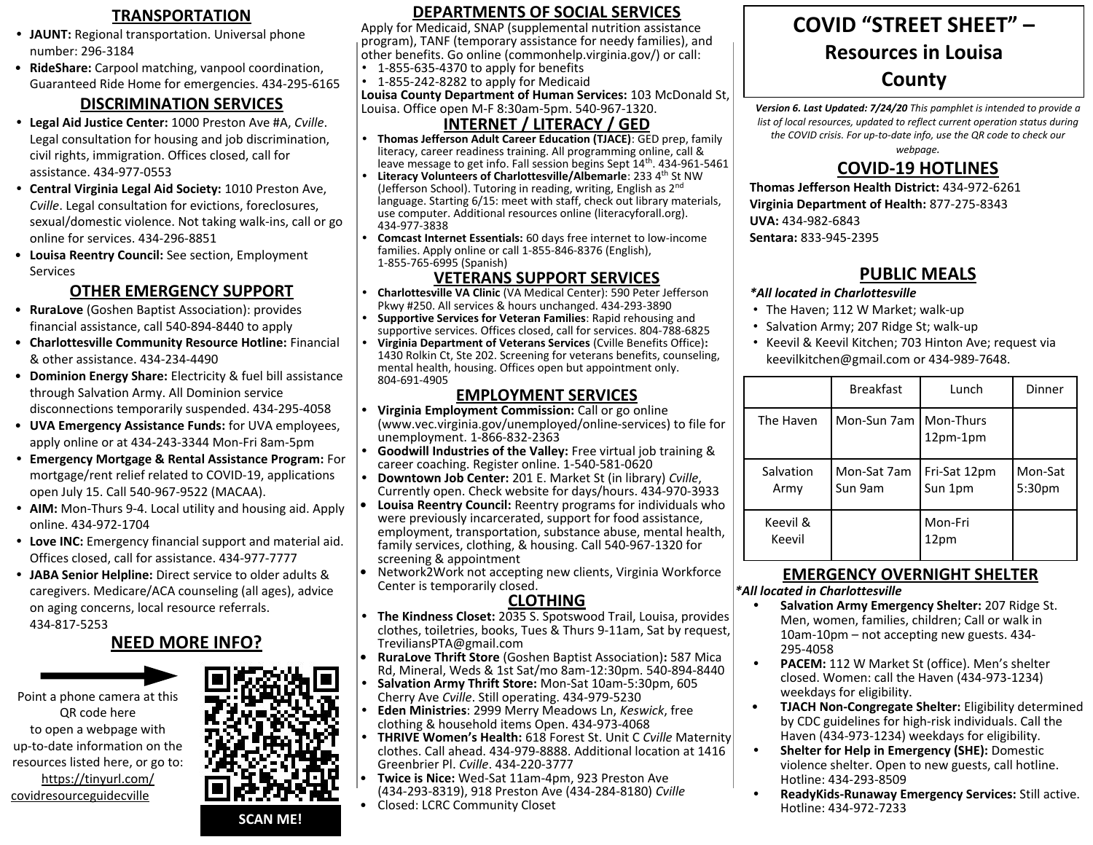- **• JAUNT:** Regional transportation. Universal phone number: 296-3184
- **RideShare:** Carpool matching, vanpool coordination, Guaranteed Ride Home for emergencies. 434-295-6165

### **DISCRIMINATION SERVICES**

- **• Legal Aid Justice Center:** 1000 Preston Ave #A, *Cville*. Legal consultation for housing and job discrimination, civil rights, immigration. Offices closed, call for assistance. 434-977-0553
- **• Central Virginia Legal Aid Society:** 1010 Preston Ave, *Cville*. Legal consultation for evictions, foreclosures, sexual/domestic violence. Not taking walk-ins, call or go online for services. 434-296-8851
- **Louisa Reentry Council:** See section, Employment Services

### **OTHER EMERGENCY SUPPORT**

- **RuraLove** (Goshen Baptist Association): provides financial assistance, call 540-894-8440 to apply
- **Charlottesville Community Resource Hotline:** Financial & other assistance. 434-234-4490
- **Dominion Energy Share:** Electricity & fuel bill assistance through Salvation Army. All Dominion service disconnections temporarily suspended. 434-295-4058
- **UVA Emergency Assistance Funds:** for UVA employees, apply online or at 434-243-3344 Mon-Fri 8am-5pm
- **• Emergency Mortgage & Rental Assistance Program:** For mortgage/rent relief related to COVID-19, applications open July 15. Call 540-967-9522 (MACAA).
- **• AIM:** Mon-Thurs 9-4. Local utility and housing aid. Apply online. 434-972-1704
- **• Love INC:** Emergency financial support and material aid. Offices closed, call for assistance. 434-977-7777
- **• JABA Senior Helpline:** Direct service to older adults & caregivers. Medicare/ACA counseling (all ages), advice on aging concerns, local resource referrals. 434-817-5253

### **NEED MORE INFO?**





#### TRANSPORTATION **DEPARTMENTS OF SOCIAL SERVICES** (COVID "STREET SHEET" **DEPARTMENTS OF SOCIAL SERVICES**

Apply for Medicaid, SNAP (supplemental nutrition assistance program), TANF (temporary assistance for needy families), and other benefits. Go online (commonhelp.virginia.gov/) or call:

- 1-855-635-4370 to apply for benefits
- 1-855-242-8282 to apply for Medicaid

**Louisa County Department of Human Services:** 103 McDonald St, Louisa. Office open M-F 8:30am-5pm. 540-967-1320.

### **INTERNET / LITERACY / GED**

- **• Thomas Jefferson Adult Career Education (TJACE)**: GED prep, family literacy, career readiness training. All programming online, call & leave message to get info. Fall session begins Sept 14<sup>th</sup>. 434-961-5461
- Literacy Volunteers of Charlottesville/Albemarle: 233 4<sup>th</sup> St NW (Jefferson School). Tutoring in reading, writing, English as 2<sup>nd</sup> language. Starting 6/15: meet with staff, check out library materials, use computer. Additional resources online (literacyforall.org). 434-977-3838
- **• Comcast Internet Essentials:** 60 days free internet to low-income families. Apply online or call 1-855-846-8376 (English), 1-855-765-6995 (Spanish)

#### **VETERANS SUPPORT SERVICES**

- **• Charlottesville VA Clinic** (VA Medical Center): 590 Peter Jefferson Pkwy #250. All services & hours unchanged. 434-293-3890
- **• Supportive Services for Veteran Families**: Rapid rehousing and supportive services. Offices closed, call for services. 804-788-6825
- **• Virginia Department of Veterans Services** (Cville Benefits Office)**:** 1430 Rolkin Ct, Ste 202. Screening for veterans benefits, counseling, mental health, housing. Offices open but appointment only. 804-691-4905

#### **EMPLOYMENT SERVICES**

- **• Virginia Employment Commission:** Call or go online (www.vec.virginia.gov/unemployed/online-services) to file for unemployment. 1-866-832-2363
- **• Goodwill Industries of the Valley:** Free virtual job training & career coaching. Register online. 1-540-581-0620
- **• Downtown Job Center:** 201 E. Market St (in library) *Cville*, Currently open. Check website for days/hours. 434-970-3933
- **• Louisa Reentry Council:** Reentry programs for individuals who were previously incarcerated, support for food assistance, employment, transportation, substance abuse, mental health, family services, clothing, & housing. Call 540-967-1320 for screening & appointment
- **•** Network2Work not accepting new clients, Virginia Workforce Center is temporarily closed.

### **CLOTHING**

- **• The Kindness Closet:** 2035 S. Spotswood Trail, Louisa, provides clothes, toiletries, books, Tues & Thurs 9-11am, Sat by request, TreviliansPTA@gmail.com
- **• RuraLove Thrift Store** (Goshen Baptist Association)**:** 587 Mica Rd, Mineral, Weds & 1st Sat/mo 8am-12:30pm. 540-894-8440
- **• Salvation Army Thrift Store:** Mon-Sat 10am-5:30pm, 605 Cherry Ave *Cville*. Still operating. 434-979-5230
- **• Eden Ministries**: 2999 Merry Meadows Ln, *Keswick*, free clothing & household items Open. 434-973-4068
- **• THRIVE Women's Health:** 618 Forest St. Unit C *Cville* Maternity clothes. Call ahead. 434-979-8888. Additional location at 1416 Greenbrier Pl. *Cville*. 434-220-3777
- **Twice is Nice:** Wed-Sat 11am-4pm, 923 Preston Ave (434-293-8319), 918 Preston Ave (434-284-8180) *Cville* • Closed: LCRC Community Closet

### **COVID "STREET SHEET" – Resources in Louisa County**

*Version 6. Last Updated: 7/24/20 This pamphlet is intended to provide a list of local resources, updated to reflect current operation status during the COVID crisis. For up-to-date info, use the QR code to check our* 

*webpage.* 

## **COVID-19 HOTLINES**

**Thomas Jefferson Health District:** 434-972-6261 **Virginia Department of Health:** 877-275-8343 **UVA:** 434-982-6843 **Sentara:** 833-945-2395

### **PUBLIC MEALS**

#### *\*All located in Charlottesville*

- The Haven; 112 W Market; walk-up
- Salvation Army; 207 Ridge St; walk-up
- Keevil & Keevil Kitchen; 703 Hinton Ave; request via keevilkitchen@gmail.com or 434-989-7648.

|                    | <b>Breakfast</b>        | Lunch                   | Dinner                        |
|--------------------|-------------------------|-------------------------|-------------------------------|
| The Haven          | Mon-Sun 7am   Mon-Thurs | $12pm-1pm$              |                               |
| Salvation<br>Army  | Mon-Sat 7am<br>Sun 9am  | Fri-Sat 12pm<br>Sun 1pm | Mon-Sat<br>5:30 <sub>pm</sub> |
| Keevil &<br>Keevil |                         | Mon-Fri<br>12pm         |                               |

### **EMERGENCY OVERNIGHT SHELTER**

#### *\*All located in Charlottesville*

- **• Salvation Army Emergency Shelter:** 207 Ridge St. Men, women, families, children; Call or walk in 10am-10pm – not accepting new guests. 434- 295-4058
- **• PACEM:** 112 W Market St (office). Men's shelter closed. Women: call the Haven (434-973-1234) weekdays for eligibility.
- **TJACH Non-Congregate Shelter:** Eligibility determined by CDC guidelines for high-risk individuals. Call the Haven (434-973-1234) weekdays for eligibility.
- **• Shelter for Help in Emergency (SHE):** Domestic violence shelter. Open to new guests, call hotline. Hotline: 434-293-8509
- **• ReadyKids-Runaway Emergency Services:** Still active. Hotline: 434-972-7233

#### **SCAN ME!**